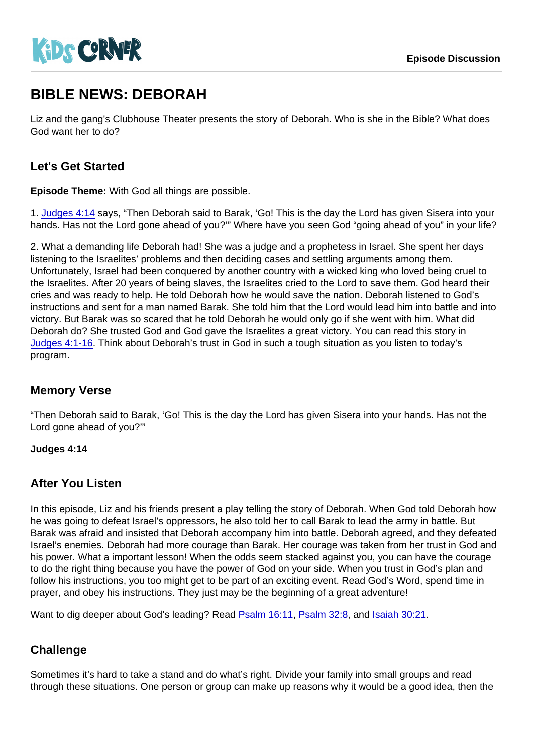# BIBLE NEWS: DEBORAH

Liz and the gang's Clubhouse Theater presents the story of Deborah. Who is she in the Bible? What does God want her to do?

## Let's Get Started

Episode Theme: With God all things are possible.

1. [Judges 4:14](https://www.biblegateway.com/passage/?search=Judges 4:14) says, "Then Deborah said to Barak, 'Go! This is the day the Lord has given Sisera into your hands. Has not the Lord gone ahead of you?"" Where have you seen God "going ahead of you" in your life?

2. What a demanding life Deborah had! She was a judge and a prophetess in Israel. She spent her days listening to the Israelites' problems and then deciding cases and settling arguments among them. Unfortunately, Israel had been conquered by another country with a wicked king who loved being cruel to the Israelites. After 20 years of being slaves, the Israelites cried to the Lord to save them. God heard their cries and was ready to help. He told Deborah how he would save the nation. Deborah listened to God's instructions and sent for a man named Barak. She told him that the Lord would lead him into battle and into victory. But Barak was so scared that he told Deborah he would only go if she went with him. What did Deborah do? She trusted God and God gave the Israelites a great victory. You can read this story in [Judges 4:1-16.](https://www.biblegateway.com/passage/?search=Judges 4:1-16) Think about Deborah's trust in God in such a tough situation as you listen to today's program.

## Memory Verse

"Then Deborah said to Barak, 'Go! This is the day the Lord has given Sisera into your hands. Has not the Lord gone ahead of you?'"

Judges 4:14

## After You Listen

In this episode, Liz and his friends present a play telling the story of Deborah. When God told Deborah how he was going to defeat Israel's oppressors, he also told her to call Barak to lead the army in battle. But Barak was afraid and insisted that Deborah accompany him into battle. Deborah agreed, and they defeated Israel's enemies. Deborah had more courage than Barak. Her courage was taken from her trust in God and his power. What a important lesson! When the odds seem stacked against you, you can have the courage to do the right thing because you have the power of God on your side. When you trust in God's plan and follow his instructions, you too might get to be part of an exciting event. Read God's Word, spend time in prayer, and obey his instructions. They just may be the beginning of a great adventure!

Want to dig deeper about God's leading? Read [Psalm 16:11,](https://www.biblegateway.com/passage/?search=Psalm 16:11) [Psalm 32:8,](https://www.biblegateway.com/passage/?search=Psalm 32:8) and [Isaiah 30:21](https://www.biblegateway.com/passage/?search=Isaiah 30:21).

## **Challenge**

Sometimes it's hard to take a stand and do what's right. Divide your family into small groups and read through these situations. One person or group can make up reasons why it would be a good idea, then the